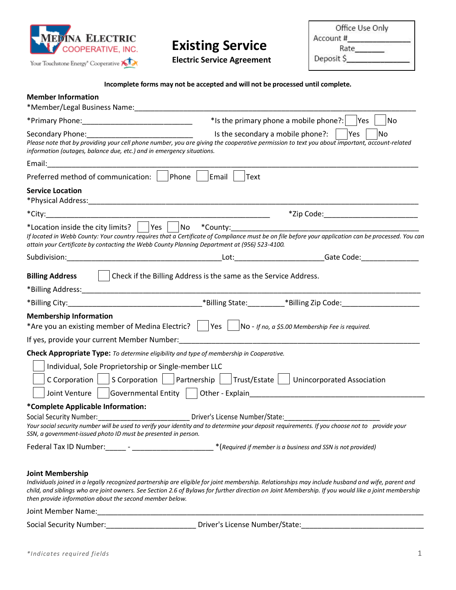

## **Existing Service**

**Electric Service Agreement**

Office Use Only  $Rate$ Deposit \$

**Incomplete forms may not be accepted and will not be processed until complete.**

| <b>Member Information</b><br>*Member/Legal Business Name:____________________                                                                                                                                                                                                                                                                                                                                       |               |                                                              |
|---------------------------------------------------------------------------------------------------------------------------------------------------------------------------------------------------------------------------------------------------------------------------------------------------------------------------------------------------------------------------------------------------------------------|---------------|--------------------------------------------------------------|
|                                                                                                                                                                                                                                                                                                                                                                                                                     |               | *Is the primary phone a mobile phone?:<br>No<br>lYes         |
| Secondary Phone: National Phone Secondary Phone:<br>Please note that by providing your cell phone number, you are giving the cooperative permission to text you about important, account-related<br>information (outages, balance due, etc.) and in emergency situations.                                                                                                                                           |               | Yes<br>No<br>Is the secondary a mobile phone?:               |
|                                                                                                                                                                                                                                                                                                                                                                                                                     |               |                                                              |
| Phone<br>Preferred method of communication:                                                                                                                                                                                                                                                                                                                                                                         | Email<br>Text |                                                              |
| <b>Service Location</b>                                                                                                                                                                                                                                                                                                                                                                                             |               |                                                              |
|                                                                                                                                                                                                                                                                                                                                                                                                                     |               | *Zip Code:___________________________                        |
| *Location inside the city limits? Thes No *County:<br>If located in Webb County: Your country requires that a Certificate of Compliance must be on file before your application can be processed. You can<br>attain your Certificate by contacting the Webb County Planning Department at (956) 523-4100.                                                                                                           |               |                                                              |
|                                                                                                                                                                                                                                                                                                                                                                                                                     |               |                                                              |
| Check if the Billing Address is the same as the Service Address.<br><b>Billing Address</b>                                                                                                                                                                                                                                                                                                                          |               |                                                              |
| <b>Membership Information</b><br>*Are you an existing member of Medina Electric? $   \cdot   $ Yes $   \cdot   $ No - If no, a \$5.00 Membership Fee is required.                                                                                                                                                                                                                                                   |               |                                                              |
| Check Appropriate Type: To determine eligibility and type of membership in Cooperative.                                                                                                                                                                                                                                                                                                                             |               |                                                              |
| Individual, Sole Proprietorship or Single-member LLC<br>C Corporation   $ S$ Corporation     Partnership     Trust/Estate     Unincorporated Association<br>Joint Venture   Governmental Entity   Other - Explain___________________________                                                                                                                                                                        |               |                                                              |
| *Complete Applicable Information:                                                                                                                                                                                                                                                                                                                                                                                   |               |                                                              |
| Social Security Number: __________________________________ Driver's License Number/State: ____________________<br>Your social security number will be used to verify your identity and to determine your deposit requirements. If you choose not to provide your<br>SSN, a government-issued photo ID must be presented in person.                                                                                  |               |                                                              |
|                                                                                                                                                                                                                                                                                                                                                                                                                     |               | * (Required if member is a business and SSN is not provided) |
| <b>Joint Membership</b><br>Individuals joined in a legally recognized partnership are eligible for joint membership. Relationships may include husband and wife, parent and<br>child, and siblings who are joint owners. See Section 2.6 of Bylaws for further direction on Joint Membership. If you would like a joint membership<br>then provide information about the second member below.<br>Joint Member Name: |               |                                                              |

Social Security Number:\_\_\_\_\_\_\_\_\_\_\_\_\_\_\_\_\_\_\_\_\_\_\_\_\_\_\_\_\_\_Driver's License Number/State:\_\_\_\_\_\_\_\_\_\_\_\_\_\_\_\_\_\_\_\_\_\_\_\_\_\_\_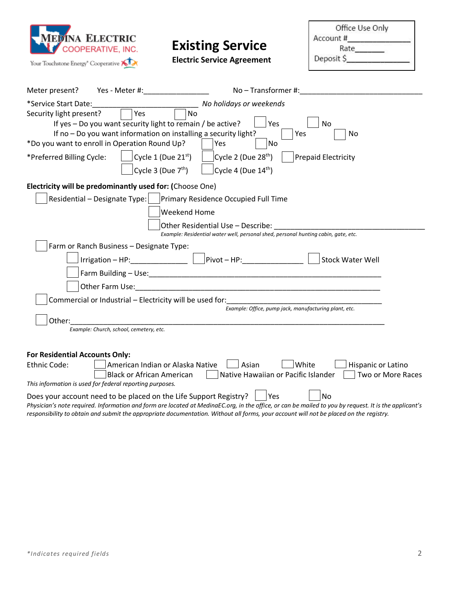

## **Existing Service**

**Electric Service Agreement**

Office Use Only  $\begin{array}{c}\n\text{Account } \text{\#} \quad \text{\_} \\
\text{Rate} \quad \text{\_} \\
\end{array}$ Deposit \$

| Meter present?<br>Yes - Meter #:<br>No-Transformer#:                                                                                                  |  |  |  |  |
|-------------------------------------------------------------------------------------------------------------------------------------------------------|--|--|--|--|
| No holidays or weekends<br>*Service Start Date:                                                                                                       |  |  |  |  |
| Yes<br>Security light present?<br><b>No</b>                                                                                                           |  |  |  |  |
| If yes - Do you want security light to remain / be active?<br>Yes<br><b>No</b>                                                                        |  |  |  |  |
| If no - Do you want information on installing a security light?<br>Yes<br>No                                                                          |  |  |  |  |
| *Do you want to enroll in Operation Round Up?<br>Yes<br>No                                                                                            |  |  |  |  |
| Cycle 1 (Due $21^{st}$ )<br>Cycle 2 (Due 28 <sup>th</sup> )<br><b>Prepaid Electricity</b><br>*Preferred Billing Cycle:                                |  |  |  |  |
| Cycle 3 (Due $7th$ )<br>Cycle 4 (Due $14^{\text{th}}$ )                                                                                               |  |  |  |  |
| Electricity will be predominantly used for: (Choose One)                                                                                              |  |  |  |  |
| Residential – Designate Type:       Primary Residence Occupied Full Time                                                                              |  |  |  |  |
| Weekend Home                                                                                                                                          |  |  |  |  |
| Other Residential Use - Describe:                                                                                                                     |  |  |  |  |
| Example: Residential water well, personal shed, personal hunting cabin, gate, etc.                                                                    |  |  |  |  |
| Farm or Ranch Business - Designate Type:                                                                                                              |  |  |  |  |
| $ Pivot - HP:$<br>$Irrigation - HP:$<br><b>Stock Water Well</b>                                                                                       |  |  |  |  |
|                                                                                                                                                       |  |  |  |  |
|                                                                                                                                                       |  |  |  |  |
| Commercial or Industrial - Electricity will be used for:                                                                                              |  |  |  |  |
| Example: Office, pump jack, manufacturing plant, etc.                                                                                                 |  |  |  |  |
| Other:                                                                                                                                                |  |  |  |  |
| Example: Church, school, cemetery, etc.                                                                                                               |  |  |  |  |
|                                                                                                                                                       |  |  |  |  |
| For Residential Accounts Only:                                                                                                                        |  |  |  |  |
| White<br>Ethnic Code:<br>American Indian or Alaska Native<br>Asian<br>Hispanic or Latino<br>Two or More Races                                         |  |  |  |  |
| Native Hawaiian or Pacific Islander<br><b>Black or African American</b><br>This information is used for federal reporting purposes.                   |  |  |  |  |
| Does your account need to be placed on the Life Support Registry?<br> Yes<br>No                                                                       |  |  |  |  |
| Physician's note required. Information and form are located at MedinaEC.org, in the office, or can be mailed to you by request. It is the applicant's |  |  |  |  |
| responsibility to obtain and submit the appropriate documentation. Without all forms, your account will not be placed on the registry.                |  |  |  |  |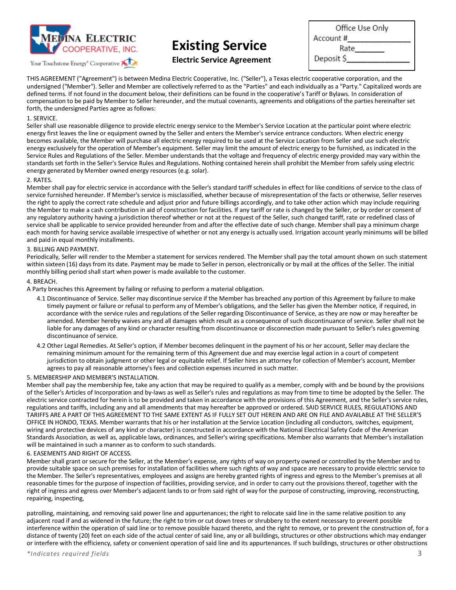

Your Touchstone Energy<sup>®</sup> Cooperative

## **Existing Service**

| <b>Electric Service Agreement</b> |  |
|-----------------------------------|--|
|-----------------------------------|--|

| Office Use Only |  |
|-----------------|--|
| Account#        |  |
| Rate            |  |
| Deposit \$      |  |
|                 |  |

THIS AGREEMENT ("Agreement") is between Medina Electric Cooperative, Inc. ("Seller"), a Texas electric cooperative corporation, and the undersigned ("Member"). Seller and Member are collectively referred to as the "Parties" and each individually as a "Party." Capitalized words are defined terms. If not found in the document below, their definitions can be found in the cooperative's Tariff or Bylaws. In consideration of compensation to be paid by Member to Seller hereunder, and the mutual covenants, agreements and obligations of the parties hereinafter set forth, the undersigned Parties agree as follows:

#### 1. SERVICE.

Seller shall use reasonable diligence to provide electric energy service to the Member's Service Location at the particular point where electric energy first leaves the line or equipment owned by the Seller and enters the Member's service entrance conductors. When electric energy becomes available, the Member will purchase all electric energy required to be used at the Service Location from Seller and use such electric energy exclusively for the operation of Member's equipment. Seller may limit the amount of electric energy to be furnished, as indicated in the Service Rules and Regulations of the Seller. Member understands that the voltage and frequency of electric energy provided may vary within the standards set forth in the Seller's Service Rules and Regulations. Nothing contained herein shall prohibit the Member from safely using electric energy generated by Member owned energy resources (e.g. solar).

#### 2. RATES.

Member shall pay for electric service in accordance with the Seller's standard tariff schedules in effect for like conditions of service to the class of service furnished hereunder. If Member's service is misclassified, whether because of misrepresentation of the facts or otherwise, Seller reserves the right to apply the correct rate schedule and adjust prior and future billings accordingly, and to take other action which may include requiring the Member to make a cash contribution in aid of construction for facilities. If any tariff or rate is changed by the Seller, or by order or consent of any regulatory authority having a jurisdiction thereof whether or not at the request of the Seller, such changed tariff, rate or redefined class of service shall be applicable to service provided hereunder from and after the effective date of such change. Member shall pay a minimum charge each month for having service available irrespective of whether or not any energy is actually used. Irrigation account yearly minimums will be billed and paid in equal monthly installments.

#### 3. BILLING AND PAYMENT.

Periodically, Seller will render to the Member a statement for services rendered. The Member shall pay the total amount shown on such statement within sixteen (16) days from its date. Payment may be made to Seller in person, electronically or by mail at the offices of the Seller. The initial monthly billing period shall start when power is made available to the customer.

#### 4. BREACH.

A Party breaches this Agreement by failing or refusing to perform a material obligation.

- 4.1 Discontinuance of Service. Seller may discontinue service if the Member has breached any portion of this Agreement by failure to make timely payment or failure or refusal to perform any of Member's obligations, and the Seller has given the Member notice, if required, in accordance with the service rules and regulations of the Seller regarding Discontinuance of Service, as they are now or may hereafter be amended. Member hereby waives any and all damages which result as a consequence of such discontinuance of service. Seller shall not be liable for any damages of any kind or character resulting from discontinuance or disconnection made pursuant to Seller's rules governing discontinuance of service.
- 4.2 Other Legal Remedies. At Seller's option, if Member becomes delinquent in the payment of his or her account, Seller may declare the remaining minimum amount for the remaining term of this Agreement due and may exercise legal action in a court of competent jurisdiction to obtain judgment or other legal or equitable relief. If Seller hires an attorney for collection of Member's account, Member agrees to pay all reasonable attorney's fees and collection expenses incurred in such matter.

#### 5. MEMBERSHIP AND MEMBER'S INSTALLATION.

Member shall pay the membership fee, take any action that may be required to qualify as a member, comply with and be bound by the provisions of the Seller's Articles of Incorporation and by-laws as well as Seller's rules and regulations as may from time to time be adopted by the Seller. The electric service contracted for herein is to be provided and taken in accordance with the provisions of this Agreement, and the Seller's service rules, regulations and tariffs, including any and all amendments that may hereafter be approved or ordered. SAID SERVICE RULES, REGULATIONS AND TARIFFS ARE A PART OF THIS AGREEMENT TO THE SAME EXTENT AS IF FULLY SET OUT HEREIN AND ARE ON FILE AND AVAILABLE AT THE SELLER'S OFFICE IN HONDO, TEXAS. Member warrants that his or her installation at the Service Location (including all conductors, switches, equipment, wiring and protective devices of any kind or character) is constructed in accordance with the National Electrical Safety Code of the American Standards Association, as well as, applicable laws, ordinances, and Seller's wiring specifications. Member also warrants that Member's installation will be maintained in such a manner as to conform to such standards.

#### 6. EASEMENTS AND RIGHT OF ACCESS.

Member shall grant or secure for the Seller, at the Member's expense, any rights of way on property owned or controlled by the Member and to provide suitable space on such premises for installation of facilities where such rights of way and space are necessary to provide electric service to the Member. The Seller's representatives, employees and assigns are hereby granted rights of ingress and egress to the Member's premises at all reasonable times for the purpose of inspection of facilities, providing service, and in order to carry out the provisions thereof, together with the right of ingress and egress over Member's adjacent lands to or from said right of way for the purpose of constructing, improving, reconstructing, repairing, inspecting,

patrolling, maintaining, and removing said power line and appurtenances; the right to relocate said line in the same relative position to any adjacent road if and as widened in the future; the right to trim or cut down trees or shrubbery to the extent necessary to prevent possible interference within the operation of said line or to remove possible hazard thereto, and the right to remove, or to prevent the construction of, for a distance of twenty (20) feet on each side of the actual center of said line, any or all buildings, structures or other obstructions which may endanger or interfere with the efficiency, safety or convenient operation of said line and its appurtenances. If such buildings, structures or other obstructions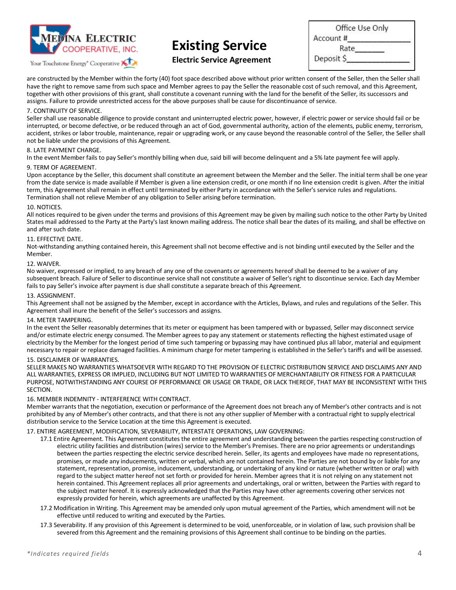

Your Touchstone Energy<sup>®</sup> Cooperative

# **Existing Service**

| Office Use Only |  |
|-----------------|--|
| Account#        |  |
| Rate            |  |
| Deposit \$      |  |

**Electric Service Agreement**

are constructed by the Member within the forty (40) foot space described above without prior written consent of the Seller, then the Seller shall have the right to remove same from such space and Member agrees to pay the Seller the reasonable cost of such removal, and this Agreement, together with other provisions of this grant, shall constitute a covenant running with the land for the benefit of the Seller, its successors and assigns. Failure to provide unrestricted access for the above purposes shall be cause for discontinuance of service.

#### 7. CONTINUITY OF SERVICE.

Seller shall use reasonable diligence to provide constant and uninterrupted electric power, however, if electric power or service should fail or be interrupted, or become defective, or be reduced through an act of God, governmental authority, action of the elements, public enemy, terrorism, accident, strikes or labor trouble, maintenance, repair or upgrading work, or any cause beyond the reasonable control of the Seller, the Seller shall not be liable under the provisions of this Agreement.

#### 8. LATE PAYMENT CHARGE.

In the event Member fails to pay Seller's monthly billing when due, said bill will become delinquent and a 5% late payment fee will apply.

#### 9. TERM OF AGREEMENT.

Upon acceptance by the Seller, this document shall constitute an agreement between the Member and the Seller. The initial term shall be one year from the date service is made available if Member is given a line extension credit, or one month if no line extension credit is given. After the initial term, this Agreement shall remain in effect until terminated by either Party in accordance with the Seller's service rules and regulations. Termination shall not relieve Member of any obligation to Seller arising before termination.

#### 10. NOTICES.

All notices required to be given under the terms and provisions of this Agreement may be given by mailing such notice to the other Party by United States mail addressed to the Party at the Party's last known mailing address. The notice shall bear the dates of its mailing, and shall be effective on and after such date.

#### 11. EFFECTIVE DATE.

Not-withstanding anything contained herein, this Agreement shall not become effective and is not binding until executed by the Seller and the Member.

#### 12. WAIVER.

No waiver, expressed or implied, to any breach of any one of the covenants or agreements hereof shall be deemed to be a waiver of any subsequent breach. Failure of Seller to discontinue service shall not constitute a waiver of Seller's right to discontinue service. Each day Member fails to pay Seller's invoice after payment is due shall constitute a separate breach of this Agreement.

#### 13. ASSIGNMENT.

This Agreement shall not be assigned by the Member, except in accordance with the Articles, Bylaws, and rules and regulations of the Seller. This Agreement shall inure the benefit of the Seller's successors and assigns.

#### 14. METER TAMPERING.

In the event the Seller reasonably determines that its meter or equipment has been tampered with or bypassed, Seller may disconnect service and/or estimate electric energy consumed. The Member agrees to pay any statement or statements reflecting the highest estimated usage of electricity by the Member for the longest period of time such tampering or bypassing may have continued plus all labor, material and equipment necessary to repair or replace damaged facilities. A minimum charge for meter tampering is established in the Seller's tariffs and will be assessed.

#### 15. DISCLAIMER OF WARRANTIES.

SELLER MAKES NO WARRANTIES WHATSOEVER WITH REGARD TO THE PROVISION OF ELECTRIC DISTRIBUTION SERVICE AND DISCLAIMS ANY AND ALL WARRANTIES, EXPRESS OR IMPLIED, INCLUDING BUT NOT LIMITED TO WARRANTIES OF MERCHANTABILITY OR FITNESS FOR A PARTICULAR PURPOSE, NOTWITHSTANDING ANY COURSE OF PERFORMANCE OR USAGE OR TRADE, OR LACK THEREOF, THAT MAY BE INCONSISTENT WITH THIS SECTION.

#### 16. MEMBER INDEMNITY - INTERFERENCE WITH CONTRACT.

Member warrants that the negotiation, execution or performance of the Agreement does not breach any of Member's other contracts and is not prohibited by any of Member's other contracts, and that there is not any other supplier of Member with a contractual right to supply electrical distribution service to the Service Location at the time this Agreement is executed.

#### 17. ENTIRE AGREEMENT, MODIFICATION, SEVERABILITY, INTERSTATE OPERATIONS, LAW GOVERNING:

- 17.1 Entire Agreement. This Agreement constitutes the entire agreement and understanding between the parties respecting construction of electric utility facilities and distribution (wires) service to the Member's Premises. There are no prior agreements or understandings between the parties respecting the electric service described herein. Seller, its agents and employees have made no representations, promises, or made any inducements, written or verbal, which are not contained herein. The Parties are not bound by or liable for any statement, representation, promise, inducement, understanding, or undertaking of any kind or nature (whether written or oral) with regard to the subject matter hereof not set forth or provided for herein. Member agrees that it is not relying on any statement not herein contained. This Agreement replaces all prior agreements and undertakings, oral or written, between the Parties with regard to the subject matter hereof. It is expressly acknowledged that the Parties may have other agreements covering other services not expressly provided for herein, which agreements are unaffected by this Agreement.
- 17.2 Modification in Writing. This Agreement may be amended only upon mutual agreement of the Parties, which amendment will not be effective until reduced to writing and executed by the Parties.
- 17.3 Severability. If any provision of this Agreement is determined to be void, unenforceable, or in violation of law, such provision shall be severed from this Agreement and the remaining provisions of this Agreement shall continue to be binding on the parties.